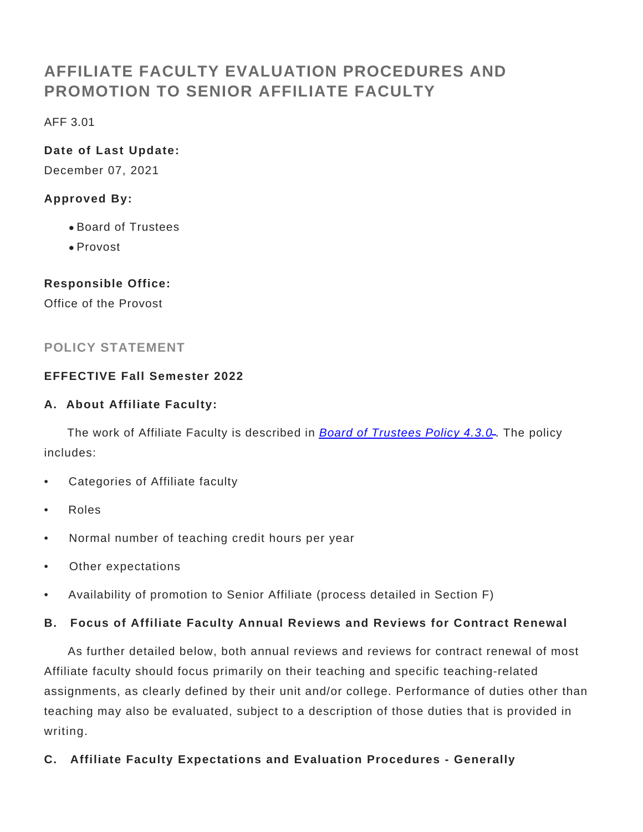# **AFFILIATE FACULTY EVALUATION PROCEDURES AND PROMOTION TO SENIOR AFFILIATE FACULTY**

AFF 3.01

# **Date of Last Update:**

December 07, 2021

# **Approved By:**

- Board of Trustees
- Provost

### **Responsible Office:**

Office of the Provost

# **POLICY STATEMENT**

### **EFFECTIVE Fall Semester 2022**

### **A. About Affiliate Faculty:**

The work of Affiliate Faculty is described in **[Board of Trustees Policy 4.3.0](https://www.gvsu.edu/policies/policy.htm?policyId=AFADB77B-A5F6-60B3-14488E461D38194F&search=BOT+4.3.0)**. The policy includes:

- Categories of Affiliate faculty
- Roles
- Normal number of teaching credit hours per year
- Other expectations
- Availability of promotion to Senior Affiliate (process detailed in Section F)

### **B. Focus of Affiliate Faculty Annual Reviews and Reviews for Contract Renewal**

 As further detailed below, both annual reviews and reviews for contract renewal of most Affiliate faculty should focus primarily on their teaching and specific teaching-related assignments, as clearly defined by their unit and/or college. Performance of duties other than teaching may also be evaluated, subject to a description of those duties that is provided in writing.

**C. Affiliate Faculty Expectations and Evaluation Procedures - Generally**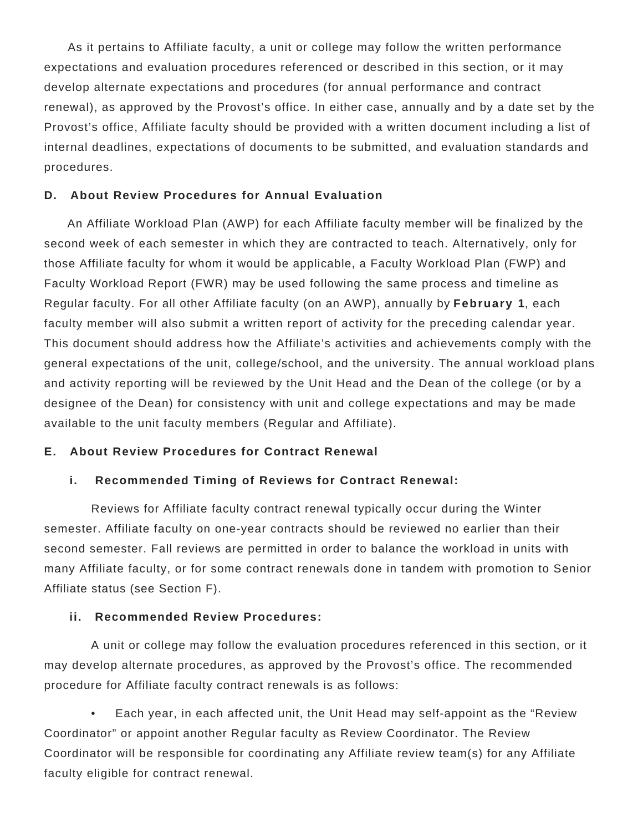As it pertains to Affiliate faculty, a unit or college may follow the written performance expectations and evaluation procedures referenced or described in this section, or it may develop alternate expectations and procedures (for annual performance and contract renewal), as approved by the Provost's office. In either case, annually and by a date set by the Provost's office, Affiliate faculty should be provided with a written document including a list of internal deadlines, expectations of documents to be submitted, and evaluation standards and procedures.

#### **D. About Review Procedures for Annual Evaluation**

 An Affiliate Workload Plan (AWP) for each Affiliate faculty member will be finalized by the second week of each semester in which they are contracted to teach. Alternatively, only for those Affiliate faculty for whom it would be applicable, a Faculty Workload Plan (FWP) and Faculty Workload Report (FWR) may be used following the same process and timeline as Regular faculty. For all other Affiliate faculty (on an AWP), annually by **February 1**, each faculty member will also submit a written report of activity for the preceding calendar year. This document should address how the Affiliate's activities and achievements comply with the general expectations of the unit, college/school, and the university. The annual workload plans and activity reporting will be reviewed by the Unit Head and the Dean of the college (or by a designee of the Dean) for consistency with unit and college expectations and may be made available to the unit faculty members (Regular and Affiliate).

#### **E. About Review Procedures for Contract Renewal**

#### **i. Recommended Timing of Reviews for Contract Renewal:**

 Reviews for Affiliate faculty contract renewal typically occur during the Winter semester. Affiliate faculty on one-year contracts should be reviewed no earlier than their second semester. Fall reviews are permitted in order to balance the workload in units with many Affiliate faculty, or for some contract renewals done in tandem with promotion to Senior Affiliate status (see Section F).

#### **ii. Recommended Review Procedures:**

 A unit or college may follow the evaluation procedures referenced in this section, or it may develop alternate procedures, as approved by the Provost's office. The recommended procedure for Affiliate faculty contract renewals is as follows:

 • Each year, in each affected unit, the Unit Head may self-appoint as the "Review Coordinator" or appoint another Regular faculty as Review Coordinator. The Review Coordinator will be responsible for coordinating any Affiliate review team(s) for any Affiliate faculty eligible for contract renewal.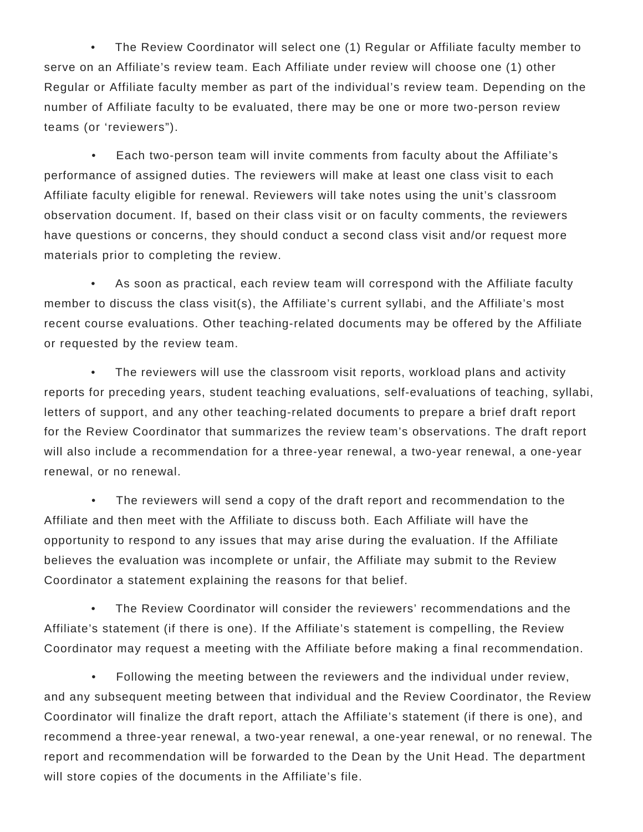• The Review Coordinator will select one (1) Regular or Affiliate faculty member to serve on an Affiliate's review team. Each Affiliate under review will choose one (1) other Regular or Affiliate faculty member as part of the individual's review team. Depending on the number of Affiliate faculty to be evaluated, there may be one or more two-person review teams (or 'reviewers").

 • Each two-person team will invite comments from faculty about the Affiliate's performance of assigned duties. The reviewers will make at least one class visit to each Affiliate faculty eligible for renewal. Reviewers will take notes using the unit's classroom observation document. If, based on their class visit or on faculty comments, the reviewers have questions or concerns, they should conduct a second class visit and/or request more materials prior to completing the review.

 • As soon as practical, each review team will correspond with the Affiliate faculty member to discuss the class visit(s), the Affiliate's current syllabi, and the Affiliate's most recent course evaluations. Other teaching-related documents may be offered by the Affiliate or requested by the review team.

The reviewers will use the classroom visit reports, workload plans and activity reports for preceding years, student teaching evaluations, self-evaluations of teaching, syllabi, letters of support, and any other teaching-related documents to prepare a brief draft report for the Review Coordinator that summarizes the review team's observations. The draft report will also include a recommendation for a three-year renewal, a two-year renewal, a one-year renewal, or no renewal.

The reviewers will send a copy of the draft report and recommendation to the Affiliate and then meet with the Affiliate to discuss both. Each Affiliate will have the opportunity to respond to any issues that may arise during the evaluation. If the Affiliate believes the evaluation was incomplete or unfair, the Affiliate may submit to the Review Coordinator a statement explaining the reasons for that belief.

 • The Review Coordinator will consider the reviewers' recommendations and the Affiliate's statement (if there is one). If the Affiliate's statement is compelling, the Review Coordinator may request a meeting with the Affiliate before making a final recommendation.

 • Following the meeting between the reviewers and the individual under review, and any subsequent meeting between that individual and the Review Coordinator, the Review Coordinator will finalize the draft report, attach the Affiliate's statement (if there is one), and recommend a three-year renewal, a two-year renewal, a one-year renewal, or no renewal. The report and recommendation will be forwarded to the Dean by the Unit Head. The department will store copies of the documents in the Affiliate's file.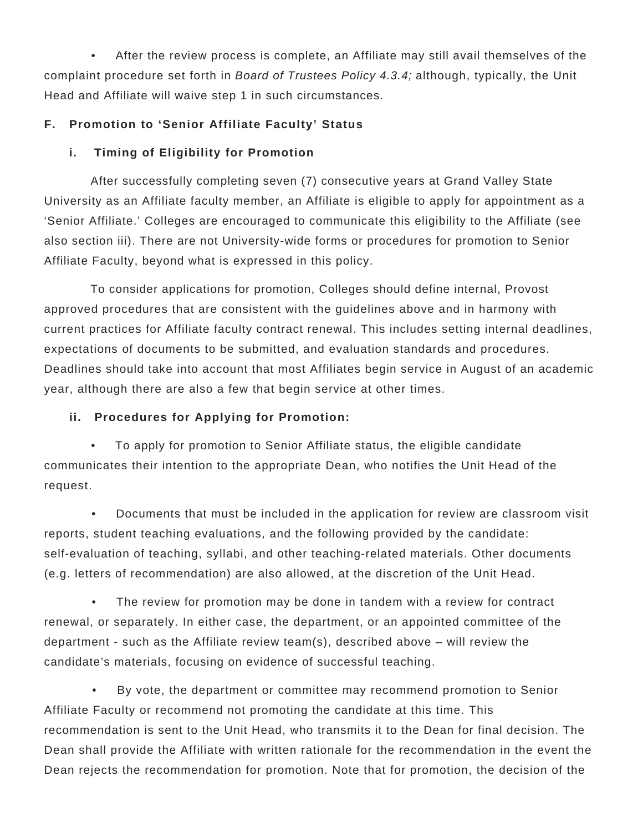• After the review process is complete, an Affiliate may still avail themselves of the complaint procedure set forth in Board of Trustees Policy 4.3.4; although, typically, the Unit Head and Affiliate will waive step 1 in such circumstances.

# **F. Promotion to 'Senior Affiliate Faculty' Status**

# **i. Timing of Eligibility for Promotion**

 After successfully completing seven (7) consecutive years at Grand Valley State University as an Affiliate faculty member, an Affiliate is eligible to apply for appointment as a 'Senior Affiliate.' Colleges are encouraged to communicate this eligibility to the Affiliate (see also section iii). There are not University-wide forms or procedures for promotion to Senior Affiliate Faculty, beyond what is expressed in this policy.

 To consider applications for promotion, Colleges should define internal, Provost approved procedures that are consistent with the guidelines above and in harmony with current practices for Affiliate faculty contract renewal. This includes setting internal deadlines, expectations of documents to be submitted, and evaluation standards and procedures. Deadlines should take into account that most Affiliates begin service in August of an academic year, although there are also a few that begin service at other times.

# **ii. Procedures for Applying for Promotion:**

 • To apply for promotion to Senior Affiliate status, the eligible candidate communicates their intention to the appropriate Dean, who notifies the Unit Head of the request.

 • Documents that must be included in the application for review are classroom visit reports, student teaching evaluations, and the following provided by the candidate: self-evaluation of teaching, syllabi, and other teaching-related materials. Other documents (e.g. letters of recommendation) are also allowed, at the discretion of the Unit Head.

The review for promotion may be done in tandem with a review for contract renewal, or separately. In either case, the department, or an appointed committee of the department - such as the Affiliate review team(s), described above – will review the candidate's materials, focusing on evidence of successful teaching.

 • By vote, the department or committee may recommend promotion to Senior Affiliate Faculty or recommend not promoting the candidate at this time. This recommendation is sent to the Unit Head, who transmits it to the Dean for final decision. The Dean shall provide the Affiliate with written rationale for the recommendation in the event the Dean rejects the recommendation for promotion. Note that for promotion, the decision of the